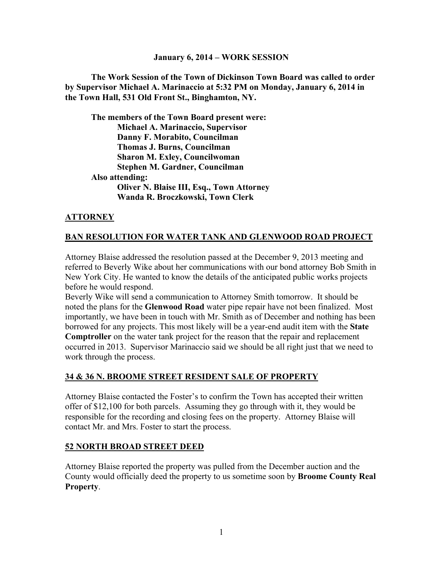#### **January 6, 2014 – WORK SESSION**

**The Work Session of the Town of Dickinson Town Board was called to order by Supervisor Michael A. Marinaccio at 5:32 PM on Monday, January 6, 2014 in the Town Hall, 531 Old Front St., Binghamton, NY.** 

**The members of the Town Board present were: Michael A. Marinaccio, Supervisor Danny F. Morabito, Councilman Thomas J. Burns, Councilman Sharon M. Exley, Councilwoman Stephen M. Gardner, Councilman Also attending: Oliver N. Blaise III, Esq., Town Attorney Wanda R. Broczkowski, Town Clerk** 

# **ATTORNEY**

### **BAN RESOLUTION FOR WATER TANK AND GLENWOOD ROAD PROJECT**

Attorney Blaise addressed the resolution passed at the December 9, 2013 meeting and referred to Beverly Wike about her communications with our bond attorney Bob Smith in New York City. He wanted to know the details of the anticipated public works projects before he would respond.

Beverly Wike will send a communication to Attorney Smith tomorrow. It should be noted the plans for the **Glenwood Road** water pipe repair have not been finalized. Most importantly, we have been in touch with Mr. Smith as of December and nothing has been borrowed for any projects. This most likely will be a year-end audit item with the **State Comptroller** on the water tank project for the reason that the repair and replacement occurred in 2013. Supervisor Marinaccio said we should be all right just that we need to work through the process.

### **34 & 36 N. BROOME STREET RESIDENT SALE OF PROPERTY**

Attorney Blaise contacted the Foster's to confirm the Town has accepted their written offer of \$12,100 for both parcels. Assuming they go through with it, they would be responsible for the recording and closing fees on the property. Attorney Blaise will contact Mr. and Mrs. Foster to start the process.

### **52 NORTH BROAD STREET DEED**

Attorney Blaise reported the property was pulled from the December auction and the County would officially deed the property to us sometime soon by **Broome County Real Property**.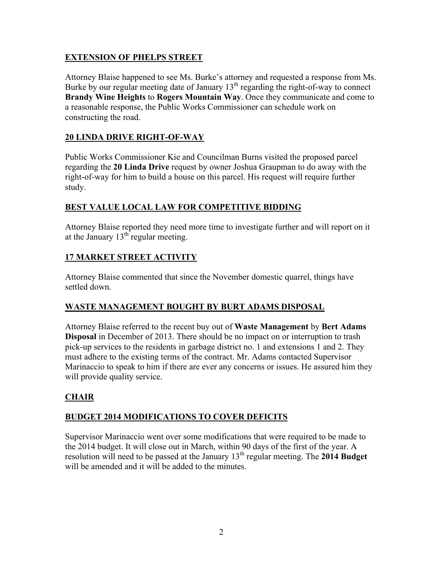# **EXTENSION OF PHELPS STREET**

Attorney Blaise happened to see Ms. Burke's attorney and requested a response from Ms. Burke by our regular meeting date of January  $13<sup>th</sup>$  regarding the right-of-way to connect **Brandy Wine Heights** to **Rogers Mountain Way**. Once they communicate and come to a reasonable response, the Public Works Commissioner can schedule work on constructing the road.

# **20 LINDA DRIVE RIGHT-OF-WAY**

Public Works Commissioner Kie and Councilman Burns visited the proposed parcel regarding the **20 Linda Drive** request by owner Joshua Graupman to do away with the right-of-way for him to build a house on this parcel. His request will require further study.

# **BEST VALUE LOCAL LAW FOR COMPETITIVE BIDDING**

Attorney Blaise reported they need more time to investigate further and will report on it at the January  $13^{th}$  regular meeting.

# **17 MARKET STREET ACTIVITY**

Attorney Blaise commented that since the November domestic quarrel, things have settled down.

# **WASTE MANAGEMENT BOUGHT BY BURT ADAMS DISPOSAL**

Attorney Blaise referred to the recent buy out of **Waste Management** by **Bert Adams Disposal** in December of 2013. There should be no impact on or interruption to trash pick-up services to the residents in garbage district no. 1 and extensions 1 and 2. They must adhere to the existing terms of the contract. Mr. Adams contacted Supervisor Marinaccio to speak to him if there are ever any concerns or issues. He assured him they will provide quality service.

# **CHAIR**

# **BUDGET 2014 MODIFICATIONS TO COVER DEFICITS**

Supervisor Marinaccio went over some modifications that were required to be made to the 2014 budget. It will close out in March, within 90 days of the first of the year. A resolution will need to be passed at the January 13th regular meeting. The **2014 Budget** will be amended and it will be added to the minutes.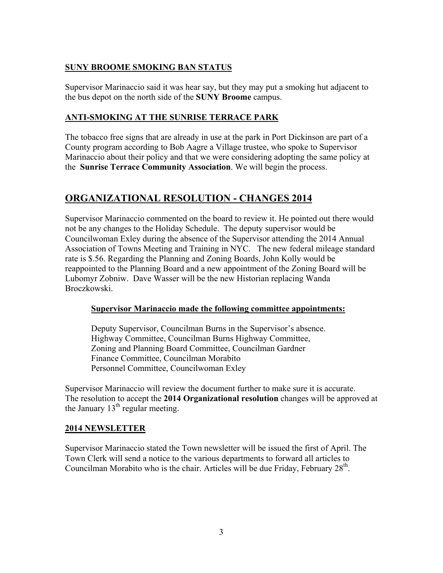# **SUNY BROOME SMOKING BAN STATUS**

Supervisor Marinaccio said it was hear say, but they may put a smoking hut adjacent to the bus depot on the north side of the **SUNY Broome** campus.

### **ANTI-SMOKING AT THE SUNRISE TERRACE PARK**

The tobacco free signs that are already in use at the park in Port Dickinson are part of a County program according to Bob Aagre a Village trustee, who spoke to Supervisor Marinaccio about their policy and that we were considering adopting the same policy at the **Sunrise Terrace Community Association**. We will begin the process.

# **ORGANIZATIONAL RESOLUTION - CHANGES 2014**

Supervisor Marinaccio commented on the board to review it. He pointed out there would not be any changes to the Holiday Schedule. The deputy supervisor would be Councilwoman Exley during the absence of the Supervisor attending the 2014 Annual Association of Towns Meeting and Training in NYC. The new federal mileage standard rate is \$.56. Regarding the Planning and Zoning Boards, John Kolly would be reappointed to the Planning Board and a new appointment of the Zoning Board will be Lubomyr Zobniw. Dave Wasser will be the new Historian replacing Wanda Broczkowski.

### **Supervisor Marinaccio made the following committee appointments:**

 Deputy Supervisor, Councilman Burns in the Supervisor's absence. Highway Committee, Councilman Burns Highway Committee, Zoning and Planning Board Committee, Councilman Gardner Finance Committee, Councilman Morabito Personnel Committee, Councilwoman Exley

Supervisor Marinaccio will review the document further to make sure it is accurate. The resolution to accept the **2014 Organizational resolution** changes will be approved at the January  $13<sup>th</sup>$  regular meeting.

### **2014 NEWSLETTER**

Supervisor Marinaccio stated the Town newsletter will be issued the first of April. The Town Clerk will send a notice to the various departments to forward all articles to Councilman Morabito who is the chair. Articles will be due Friday, February 28<sup>th</sup>.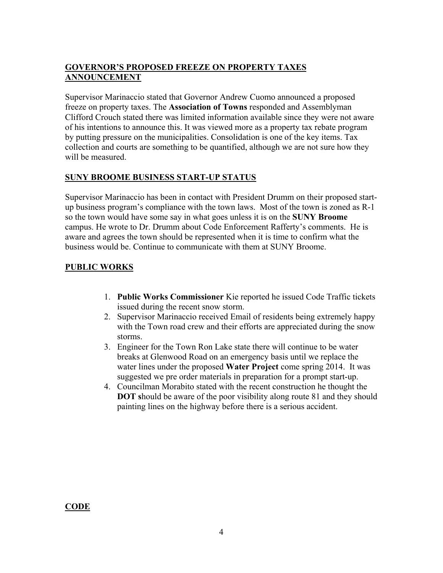# **GOVERNOR'S PROPOSED FREEZE ON PROPERTY TAXES ANNOUNCEMENT**

Supervisor Marinaccio stated that Governor Andrew Cuomo announced a proposed freeze on property taxes. The **Association of Towns** responded and Assemblyman Clifford Crouch stated there was limited information available since they were not aware of his intentions to announce this. It was viewed more as a property tax rebate program by putting pressure on the municipalities. Consolidation is one of the key items. Tax collection and courts are something to be quantified, although we are not sure how they will be measured.

# **SUNY BROOME BUSINESS START-UP STATUS**

Supervisor Marinaccio has been in contact with President Drumm on their proposed startup business program's compliance with the town laws. Most of the town is zoned as R-1 so the town would have some say in what goes unless it is on the **SUNY Broome** campus. He wrote to Dr. Drumm about Code Enforcement Rafferty's comments. He is aware and agrees the town should be represented when it is time to confirm what the business would be. Continue to communicate with them at SUNY Broome.

# **PUBLIC WORKS**

- 1. **Public Works Commissioner** Kie reported he issued Code Traffic tickets issued during the recent snow storm.
- 2. Supervisor Marinaccio received Email of residents being extremely happy with the Town road crew and their efforts are appreciated during the snow storms.
- 3. Engineer for the Town Ron Lake state there will continue to be water breaks at Glenwood Road on an emergency basis until we replace the water lines under the proposed **Water Project** come spring 2014. It was suggested we pre order materials in preparation for a prompt start-up.
- 4. Councilman Morabito stated with the recent construction he thought the **DOT s**hould be aware of the poor visibility along route 81 and they should painting lines on the highway before there is a serious accident.

**CODE**